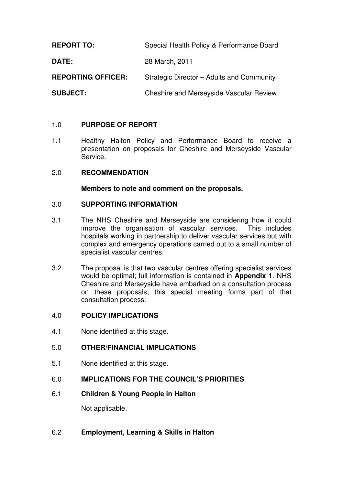**REPORT TO:** Special Health Policy & Performance Board

**DATE:** 28 March, 2011

**REPORTING OFFICER:** Strategic Director – Adults and Community

**SUBJECT:** Cheshire and Merseyside Vascular Review

# 1.0 **PURPOSE OF REPORT**

1.1 Healthy Halton Policy and Performance Board to receive a presentation on proposals for Cheshire and Merseyside Vascular Service.

## 2.0 **RECOMMENDATION**

**Members to note and comment on the proposals.** 

## 3.0 **SUPPORTING INFORMATION**

- 3.1 The NHS Cheshire and Merseyside are considering how it could improve the organisation of vascular services. This includes hospitals working in partnership to deliver vascular services but with complex and emergency operations carried out to a small number of specialist vascular centres.
- 3.2 The proposal is that two vascular centres offering specialist services would be optimal; full information is contained in **Appendix 1**. NHS Cheshire and Merseyside have embarked on a consultation process on these proposals; this special meeting forms part of that consultation process.

## 4.0 **POLICY IMPLICATIONS**

4.1 None identified at this stage.

## 5.0 **OTHER/FINANCIAL IMPLICATIONS**

5.1 None identified at this stage.

## 6.0 **IMPLICATIONS FOR THE COUNCIL'S PRIORITIES**

6.1 **Children & Young People in Halton** 

Not applicable.

## 6.2 **Employment, Learning & Skills in Halton**